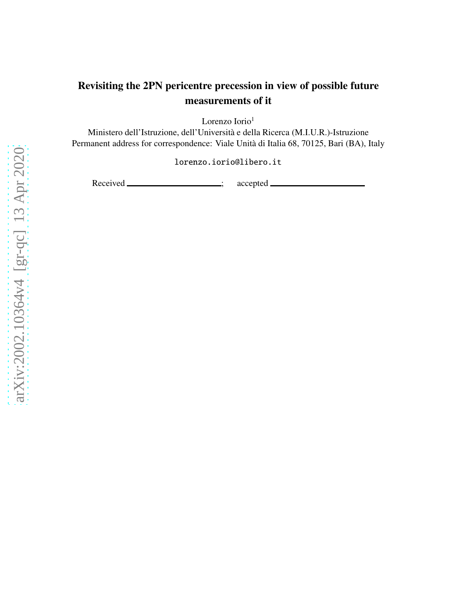# Revisiting the 2PN pericentre precession in view of possible future measurements of it

Lorenzo Iorio<sup>1</sup>

Ministero dell'Istruzione, dell'Università e della Ricerca (M.I.U.R.)-Istruzione Permanent address for correspondence: Viale Unità di Italia 68, 70125, Bari (BA), Italy

lorenzo.iorio@libero.it

Received \_\_\_\_\_\_\_\_\_\_\_\_\_\_\_\_\_\_\_; accepted \_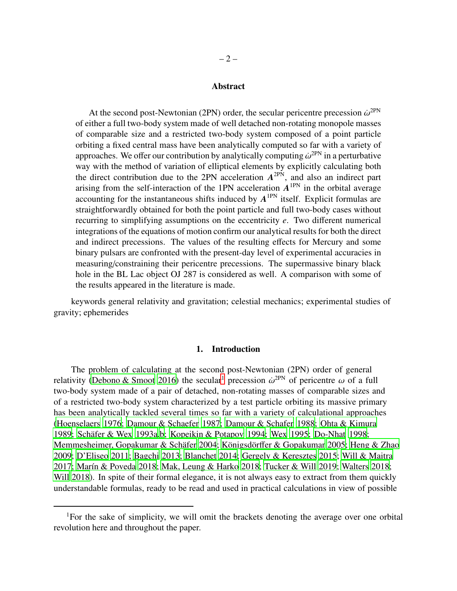#### Abstract

At the second post-Newtonian (2PN) order, the secular pericentre precession  $\dot{\omega}^{\text{2PN}}$ of either a full two-body system made of well detached non-rotating monopole masses of comparable size and a restricted two-body system composed of a point particle orbiting a fixed central mass have been analytically computed so far with a variety of approaches. We offer our contribution by analytically computing  $\dot{\omega}^{\rm 2PN}$  in a perturbative way with the method of variation of elliptical elements by explicitly calculating both the direct contribution due to the 2PN acceleration  $A^{2PN}$ , and also an indirect part arising from the self-interaction of the 1PN acceleration  $A^{1PN}$  in the orbital average accounting for the instantaneous shifts induced by  $A^{1PN}$  itself. Explicit formulas are straightforwardly obtained for both the point particle and full two-body cases without recurring to simplifying assumptions on the eccentricity *e*. Two different numerical integrations of the equations of motion confirm our analytical results for both the direct and indirect precessions. The values of the resulting effects for Mercury and some binary pulsars are confronted with the present-day level of experimental accuracies in measuring/constraining their pericentre precessions. The supermassive binary black hole in the BL Lac object OJ 287 is considered as well. A comparison with some of the results appeared in the literature is made.

keywords general relativity and gravitation; celestial mechanics; experimental studies of gravity; ephemerides

# 1. Introduction

The problem of calculating at the second post-Newtonian (2PN) order of general relativity [\(Debono & Smoot 2016\)](#page-22-0) the secular<sup>[1](#page-1-0)</sup> precession  $\dot{\omega}^{\text{2PN}}$  of pericentre  $\omega$  of a full two-body system made of a pair of detached, non-rotating masses of comparable sizes and of a restricted two-body system characterized by a test particle orbiting its massive primary has been analytically tackled several times so far with a variety of calculational approaches [\(Hoenselaers 1976;](#page-23-0) [Damour & Schaefer 1987;](#page-22-1) [Damour & Schafer](#page-22-2) [1988;](#page-22-2) [Ohta & Kimura](#page-23-1) [1989;](#page-23-1) Schäfer & Wex 1993a[,b](#page-24-1); [Kopeikin & Potapov 1994](#page-23-2); [Wex 1995](#page-24-2); [Do-Nhat 1998;](#page-22-3) Memmesheimer, Gopakumar & Schäfer 2004; Königsdörff[er & Gopakumar 2005;](#page-23-4) [Heng & Zhao](#page-23-5) [2009;](#page-23-5) [D'Eliseo 2011;](#page-22-4) [Bagchi 2013;](#page-22-5) [Blanchet 2014;](#page-22-6) [Gergely & Keresztes 2015;](#page-22-7) [Will & Maitra](#page-24-3) [2017;](#page-24-3) Marín & Poveda 2018; [Mak, Leung & Harko 2018;](#page-23-7) [Tucker & Will 2019](#page-24-4); [Walters 2018;](#page-24-5) [Will 2018\)](#page-24-6). In spite of their formal elegance, it is not always easy to extract from them quickly understandable formulas, ready to be read and used in practical calculations in view of possible

<span id="page-1-0"></span><sup>&</sup>lt;sup>1</sup>For the sake of simplicity, we will omit the brackets denoting the average over one orbital revolution here and throughout the paper.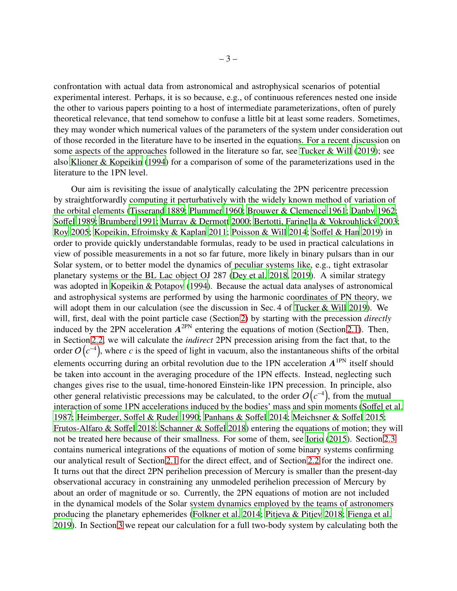confrontation with actual data from astronomical and astrophysical scenarios of potential experimental interest. Perhaps, it is so because, e.g., of continuous references nested one inside the other to various papers pointing to a host of intermediate parameterizations, often of purely theoretical relevance, that tend somehow to confuse a little bit at least some readers. Sometimes, they may wonder which numerical values of the parameters of the system under consideration out of those recorded in the literature have to be inserted in the equations. For a recent discussion on some aspects of the approaches followed in the literature so far, see [Tucker & Will](#page-24-4) [\(2019\)](#page-24-4); see also [Klioner & Kopeikin](#page-23-8) [\(1994\)](#page-23-8) for a comparison of some of the parameterizations used in the literature to the 1PN level.

Our aim is revisiting the issue of analytically calculating the 2PN pericentre precession by straightforwardly computing it perturbatively with the widely known method of variation of the orbital elements [\(Tisserand 1889](#page-24-7); [Plummer 1960;](#page-24-8) [Brouwer & Clemence 1961;](#page-22-8) [Danby 1962](#page-22-9); [So](#page-24-9)ffel [1989;](#page-24-9) [Brumberg 1991](#page-22-10); [Murray & Dermott 2000;](#page-23-9) Bertotti, Farinella & Vokrouhlický 2003; [Roy 2005](#page-24-10); [Kopeikin, Efroimsky & Kaplan 2011;](#page-23-10) [Poisson & Will 2014](#page-24-11); Soff[el & Han 2019](#page-24-12)) in order to provide quickly understandable formulas, ready to be used in practical calculations in view of possible measurements in a not so far future, more likely in binary pulsars than in our Solar system, or to better model the dynamics of peculiar systems like, e.g., tight extrasolar planetary systems or the BL Lac object OJ 287 [\(Dey et al. 2018](#page-22-12), [2019](#page-22-13)). A similar strategy was adopted in [Kopeikin & Potapov \(1994\)](#page-23-2). Because the actual data analyses of astronomical and astrophysical systems are performed by using the harmonic coordinates of PN theory, we will adopt them in our calculation (see the discussion in Sec. 4 of [Tucker & Will 2019\)](#page-24-4). We will, first, deal with the point particle case (Section [2\)](#page-3-0) by starting with the precession *directly* induced by the 2PN acceleration  $A^{2PN}$  entering the equations of motion (Section [2.1\)](#page-3-1). Then, in Section [2.2,](#page-5-0) we will calculate the *indirect* 2PN precession arising from the fact that, to the order  $O(c^{-4})$ , where *c* is the speed of light in vacuum, also the instantaneous shifts of the orbital elements occurring during an orbital revolution due to the 1PN acceleration  $A^{1PN}$  itself should be taken into account in the averaging procedure of the 1PN effects. Instead, neglecting such changes gives rise to the usual, time-honored Einstein-like 1PN precession. In principle, also other general relativistic precessions may be calculated, to the order  $O(c^{-4})$ , from the mutual interaction of some 1PN accelerations induced by the bodies' mass and spin moments (Soff[el et al.](#page-24-13) [1987;](#page-24-13) [Heimberger, So](#page-23-11)ffel & Ruder [1990;](#page-23-11) [Panhans & So](#page-23-12)ffel [2014;](#page-23-12) [Meichsner & So](#page-23-13)ffel [2015](#page-23-13); [Frutos-Alfaro & So](#page-22-14)ffel [2018](#page-22-14); [Schanner & So](#page-24-14)ffel [2018\)](#page-24-14) entering the equations of motion; they will not be treated here because of their smallness. For some of them, see [Iorio](#page-23-14) [\(2015\)](#page-23-14). Section [2.3](#page-8-0) contains numerical integrations of the equations of motion of some binary systems confirming our analytical result of Section [2.1](#page-3-1) for the direct effect, and of Section [2.2](#page-5-0) for the indirect one. It turns out that the direct 2PN perihelion precession of Mercury is smaller than the present-day observational accuracy in constraining any unmodeled perihelion precession of Mercury by about an order of magnitude or so. Currently, the 2PN equations of motion are not included in the dynamical models of the Solar system dynamics employed by the teams of astronomers producing the planetary ephemerides [\(Folkner et al. 2014](#page-22-15); [Pitjeva & Pitjev 2018;](#page-23-15) [Fienga et al.](#page-22-16) [2019\)](#page-22-16). In Section [3](#page-9-0) we repeat our calculation for a full two-body system by calculating both the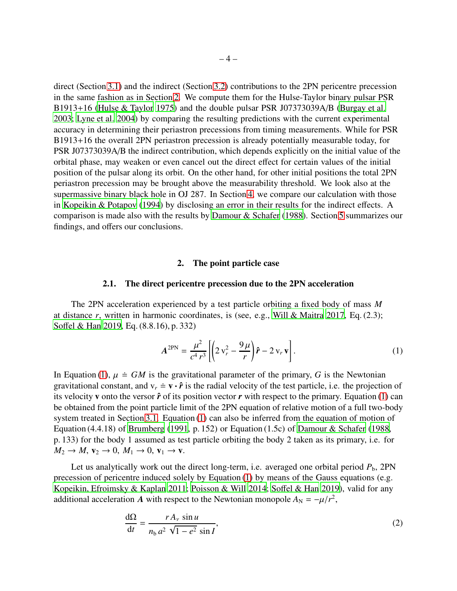direct (Section [3.1\)](#page-9-1) and the indirect (Section [3.2\)](#page-12-0) contributions to the 2PN pericentre precession in the same fashion as in Section [2.](#page-3-0) We compute them for the Hulse-Taylor binary pulsar PSR B1913+16 [\(Hulse & Taylor 1975](#page-23-16)) and the double pulsar PSR J07373039A/B [\(Burgay et al.](#page-22-17) [2003;](#page-22-17) [Lyne et al. 2004\)](#page-23-17) by comparing the resulting predictions with the current experimental accuracy in determining their periastron precessions from timing measurements. While for PSR B1913+16 the overall 2PN periastron precession is already potentially measurable today, for PSR J07373039A/B the indirect contribution, which depends explicitly on the initial value of the orbital phase, may weaken or even cancel out the direct effect for certain values of the initial position of the pulsar along its orbit. On the other hand, for other initial positions the total 2PN periastron precession may be brought above the measurability threshold. We look also at the supermassive binary black hole in OJ 287. In Section [4,](#page-14-0) we compare our calculation with those in [Kopeikin & Potapov](#page-23-2) [\(1994\)](#page-23-2) by disclosing an error in their results for the indirect effects. A comparison is made also with the results by [Damour & Schafer](#page-22-2) [\(1988\)](#page-22-2). Section [5](#page-18-0) summarizes our findings, and offers our conclusions.

## 2. The point particle case

## 2.1. The direct pericentre precession due to the 2PN acceleration

<span id="page-3-1"></span><span id="page-3-0"></span>The 2PN acceleration experienced by a test particle orbiting a fixed body of mass *M* at distance *r*, written in harmonic coordinates, is (see, e.g., [Will & Maitra 2017,](#page-24-3) Eq. (2.3); Soff[el & Han 2019,](#page-24-12) Eq. (8.8.16), p. 332)

<span id="page-3-2"></span>
$$
A^{2\text{PN}} = \frac{\mu^2}{c^4 r^3} \left[ \left( 2 v_r^2 - \frac{9\mu}{r} \right) \hat{r} - 2 v_r v \right]. \tag{1}
$$

In Equation [\(1\)](#page-3-2),  $\mu \doteq GM$  is the gravitational parameter of the primary, *G* is the Newtonian gravitational constant, and  $v_r = v \cdot \hat{r}$  is the radial velocity of the test particle, i.e. the projection of its velocity **v** onto the versor  $\hat{r}$  of its position vector  $r$  with respect to the primary. Equation [\(1\)](#page-3-2) can be obtained from the point particle limit of the 2PN equation of relative motion of a full two-body system treated in Section [3.1.](#page-9-1) Equation [\(1\)](#page-3-2) can also be inferred from the equation of motion of Equation (4.4.18) of [Brumberg \(1991,](#page-22-10) p. 152) or Equation (1.5c) of [Damour & Schafer](#page-22-2) [\(1988,](#page-22-2) p. 133) for the body 1 assumed as test particle orbiting the body 2 taken as its primary, i.e. for  $M_2 \rightarrow M$ ,  $\mathbf{v}_2 \rightarrow 0$ ,  $M_1 \rightarrow 0$ ,  $\mathbf{v}_1 \rightarrow \mathbf{v}$ .

Let us analytically work out the direct long-term, i.e. averaged one orbital period  $P_b$ , 2PN precession of pericentre induced solely by Equation [\(1\)](#page-3-2) by means of the Gauss equations (e.g. [Kopeikin, Efroimsky & Kaplan 2011;](#page-23-10) [Poisson & Will 2014](#page-24-11); Soff[el & Han 2019\)](#page-24-12), valid for any additional acceleration *A* with respect to the Newtonian monopole  $A_N = -\mu/r^2$ ,

<span id="page-3-3"></span>
$$
\frac{d\Omega}{dt} = \frac{rA_v \sin u}{n_b a^2 \sqrt{1 - e^2} \sin I},
$$
\n(2)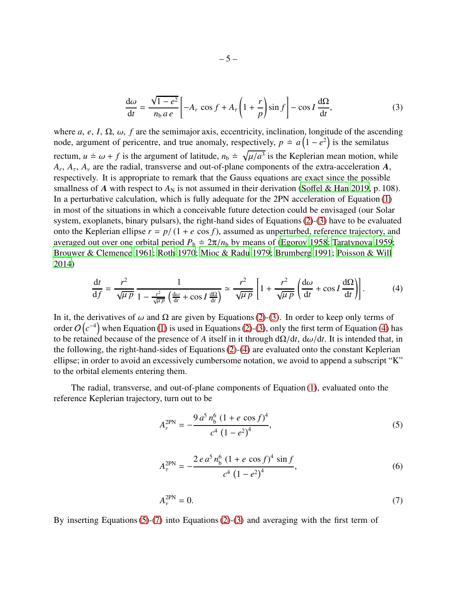<span id="page-4-0"></span>
$$
\frac{d\omega}{dt} = \frac{\sqrt{1 - e^2}}{n_b a e} \left[ -A_r \cos f + A_\tau \left( 1 + \frac{r}{p} \right) \sin f \right] - \cos I \frac{d\Omega}{dt},\tag{3}
$$

where  $a, e, I, \Omega, \omega, f$  are the semimajor axis, eccentricity, inclination, longitude of the ascending node, argument of pericentre, and true anomaly, respectively,  $p \doteq a(1 - e^2)$  is the semilatus rectum,  $u \doteq \omega + f$  is the argument of latitude,  $n_b \doteq \sqrt{\mu/a^3}$  is the Keplerian mean motion, while  $A_r$ ,  $A_\tau$ ,  $A_\nu$  are the radial, transverse and out-of-plane components of the extra-acceleration  $A$ , respectively. It is appropriate to remark that the Gauss equations are exact since the possible smallness of *A* with respect to  $A_N$  is not assumed in their derivation (Soff[el & Han 2019,](#page-24-12) p. 108). In a perturbative calculation, which is fully adequate for the 2PN acceleration of Equation [\(1\)](#page-3-2) in most of the situations in which a conceivable future detection could be envisaged (our Solar system, exoplanets, binary pulsars), the right-hand sides of Equations [\(2\)](#page-3-3)-[\(3\)](#page-4-0) have to be evaluated onto the Keplerian ellipse  $r = p/(1 + e \cos f)$ , assumed as unperturbed, reference trajectory, and averaged out over one orbital period  $P_b \doteq 2\pi/n_b$  by means of [\(Egorov 1958;](#page-22-18) [Taratynova 1959;](#page-24-15) [Brouwer & Clemence 1961](#page-22-8); [Roth 1970;](#page-24-16) [Mioc & Radu 1979](#page-23-18); [Brumberg 1991;](#page-22-10) [Poisson & Will](#page-24-11) [2014\)](#page-24-11)

<span id="page-4-1"></span>
$$
\frac{dt}{df} = \frac{r^2}{\sqrt{\mu p}} \frac{1}{1 - \frac{r^2}{\sqrt{\mu p}} \left(\frac{d\omega}{dt} + \cos I \frac{d\Omega}{dt}\right)} \simeq \frac{r^2}{\sqrt{\mu p}} \left[1 + \frac{r^2}{\sqrt{\mu p}} \left(\frac{d\omega}{dt} + \cos I \frac{d\Omega}{dt}\right)\right].
$$
 (4)

In it, the derivatives of  $\omega$  and  $\Omega$  are given by Equations [\(2\)](#page-3-3)-[\(3\)](#page-4-0). In order to keep only terms of order  $O(c^{-4})$  when Equation [\(1\)](#page-3-2) is used in Equations [\(2\)](#page-3-3)-[\(3\)](#page-4-0), only the first term of Equation [\(4\)](#page-4-1) has to be retained because of the presence of *A* itself in it through  $d\Omega/dt$ ,  $d\omega/dt$ . It is intended that, in the following, the right-hand-sides of Equations [\(2\)](#page-3-3)-[\(4\)](#page-4-1) are evaluated onto the constant Keplerian ellipse; in order to avoid an excessively cumbersome notation, we avoid to append a subscript "K" to the orbital elements entering them.

The radial, transverse, and out-of-plane components of Equation [\(1\)](#page-3-2), evaluated onto the reference Keplerian trajectory, turn out to be

<span id="page-4-2"></span>
$$
A_r^{\text{2PN}} = -\frac{9 a^5 n_b^6 (1 + e \cos f)^4}{c^4 (1 - e^2)^4},\tag{5}
$$

$$
A_{\tau}^{\text{2PN}} = -\frac{2 e a^5 n_b^6 (1 + e \cos f)^4 \sin f}{c^4 (1 - e^2)^4},\tag{6}
$$

<span id="page-4-3"></span>
$$
A_{\nu}^{\text{2PN}} = 0. \tag{7}
$$

By inserting Equations  $(5)-(7)$  $(5)-(7)$  into Equations  $(2)-(3)$  $(2)-(3)$  $(2)-(3)$  and averaging with the first term of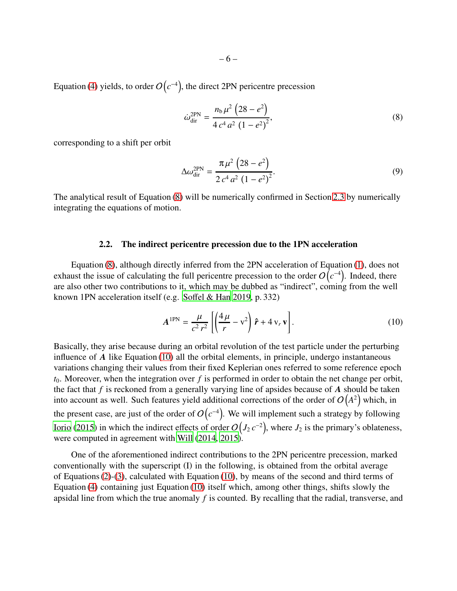Equation [\(4\)](#page-4-1) yields, to order  $O(c^{-4})$ , the direct 2PN pericentre precession

<span id="page-5-1"></span>
$$
\dot{\omega}_{\rm dir}^{\rm 2PN} = \frac{n_{\rm b}\,\mu^2\,\left(28 - e^2\right)}{4\,c^4\,a^2\,\left(1 - e^2\right)^2},\tag{8}
$$

corresponding to a shift per orbit

$$
\Delta \omega_{\text{dir}}^{\text{2PN}} = \frac{\pi \mu^2 (28 - e^2)}{2 c^4 a^2 (1 - e^2)^2}.
$$
\n(9)

<span id="page-5-0"></span>The analytical result of Equation [\(8\)](#page-5-1) will be numerically confirmed in Section [2.3](#page-8-0) by numerically integrating the equations of motion.

#### 2.2. The indirect pericentre precession due to the 1PN acceleration

Equation [\(8\)](#page-5-1), although directly inferred from the 2PN acceleration of Equation [\(1\)](#page-3-2), does not exhaust the issue of calculating the full pericentre precession to the order  $O(c^{-4})$ . Indeed, there are also other two contributions to it, which may be dubbed as "indirect", coming from the well known 1PN acceleration itself (e.g. Soff[el & Han 2019,](#page-24-12) p. 332)

<span id="page-5-2"></span>
$$
A^{1PN} = \frac{\mu}{c^2 r^2} \left[ \left( \frac{4\mu}{r} - v^2 \right) \hat{r} + 4 v_r v \right].
$$
 (10)

Basically, they arise because during an orbital revolution of the test particle under the perturbing influence of *A* like Equation [\(10\)](#page-5-2) all the orbital elements, in principle, undergo instantaneous variations changing their values from their fixed Keplerian ones referred to some reference epoch  $t_0$ . Moreover, when the integration over  $f$  is performed in order to obtain the net change per orbit, the fact that *f* is reckoned from a generally varying line of apsides because of *A* should be taken into account as well. Such features yield additional corrections of the order of  $O(A^2)$  which, in the present case, are just of the order of  $O\big( c^{-4} \big)$ . We will implement such a strategy by following [Iorio \(2015](#page-23-14)) in which the indirect effects of order  $O( J_2 c^{-2})$ , where  $J_2$  is the primary's oblateness, were computed in agreement with [Will \(2014](#page-24-17), [2015](#page-24-18)).

One of the aforementioned indirect contributions to the 2PN pericentre precession, marked conventionally with the superscript (I) in the following, is obtained from the orbital average of Equations  $(2)-(3)$  $(2)-(3)$ , calculated with Equation  $(10)$ , by means of the second and third terms of Equation [\(4\)](#page-4-1) containing just Equation [\(10\)](#page-5-2) itself which, among other things, shifts slowly the apsidal line from which the true anomaly *f* is counted. By recalling that the radial, transverse, and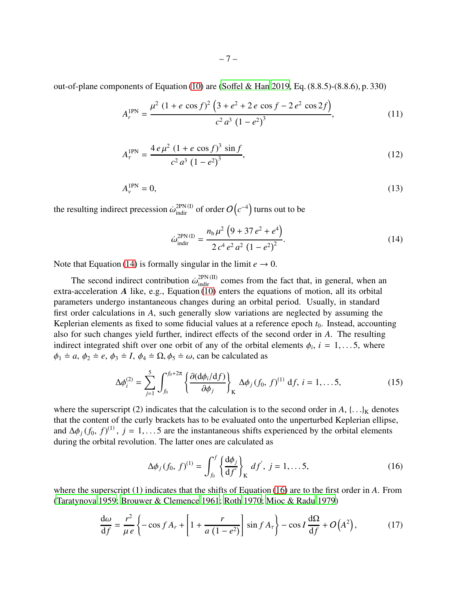out-of-plane components of Equation [\(10\)](#page-5-2) are (Soff[el & Han 2019,](#page-24-12) Eq. (8.8.5)-(8.8.6), p. 330)

$$
A_r^{\text{1PN}} = \frac{\mu^2 (1 + e \cos f)^2 (3 + e^2 + 2 e \cos f - 2 e^2 \cos 2f)}{c^2 a^3 (1 - e^2)^3},\tag{11}
$$

$$
A_{\tau}^{\text{IPN}} = \frac{4 e \mu^2 (1 + e \cos f)^3 \sin f}{c^2 a^3 (1 - e^2)^3},
$$
 (12)

$$
A_{\nu}^{\text{IPN}} = 0,\tag{13}
$$

the resulting indirect precession  $\dot{\omega}_{\text{indir}}^{\text{2PN (I)}}$  of order  $O\left(c^{-4}\right)$  turns out to be

<span id="page-6-3"></span><span id="page-6-2"></span><span id="page-6-0"></span>
$$
\dot{\omega}_{\text{indir}}^{\text{2PN (I)}} = \frac{n_{\text{b}}\mu^2 \left(9 + 37 e^2 + e^4\right)}{2 c^4 e^2 a^2 \left(1 - e^2\right)^2}.
$$
\n(14)

Note that Equation [\(14\)](#page-6-0) is formally singular in the limit  $e \rightarrow 0$ .

The second indirect contribution  $\dot{\omega}_{\text{indir}}^{2PN (II)}$  comes from the fact that, in general, when an extra-acceleration *A* like, e.g., Equation [\(10\)](#page-5-2) enters the equations of motion, all its orbital parameters undergo instantaneous changes during an orbital period. Usually, in standard first order calculations in *A*, such generally slow variations are neglected by assuming the Keplerian elements as fixed to some fiducial values at a reference epoch  $t_0$ . Instead, accounting also for such changes yield further, indirect effects of the second order in *A*. The resulting indirect integrated shift over one orbit of any of the orbital elements  $\phi_i$ ,  $i = 1, \ldots, 5$ , where  $\phi_1 \doteq a, \phi_2 \doteq e, \phi_3 \doteq I, \phi_4 \doteq \Omega, \phi_5 \doteq \omega$ , can be calculated as

<span id="page-6-4"></span>
$$
\Delta \phi_i^{(2)} = \sum_{j=1}^5 \int_{f_0}^{f_0 + 2\pi} \left\{ \frac{\partial (\mathrm{d} \phi_i / \mathrm{d} f)}{\partial \phi_j} \right\}_K \, \Delta \phi_j \, (f_0, \, f)^{(1)} \, \mathrm{d} f, \, i = 1, \dots 5, \tag{15}
$$

where the superscript (2) indicates that the calculation is to the second order in  $A$ ,  $\{ \ldots \}_K$  denotes that the content of the curly brackets has to be evaluated onto the unperturbed Keplerian ellipse, and  $\Delta\phi_j(f_0, f)^{(1)}$ ,  $j = 1, \ldots 5$  are the instantaneous shifts experienced by the orbital elements during the orbital revolution. The latter ones are calculated as

<span id="page-6-5"></span><span id="page-6-1"></span>
$$
\Delta \phi_j (f_0, f)^{(1)} = \int_{f_0}^f \left\{ \frac{\mathrm{d} \phi_j}{\mathrm{d} f'} \right\}_K df', \ j = 1, \dots 5, \tag{16}
$$

where the superscript (1) indicates that the shifts of Equation [\(16\)](#page-6-1) are to the first order in *A*. From [\(Taratynova 1959;](#page-24-15) [Brouwer & Clemence 1961](#page-22-8); [Roth 1970;](#page-24-16) [Mioc &](#page-23-18) Radu [1979\)](#page-23-18)

$$
\frac{d\omega}{df} = \frac{r^2}{\mu e} \left\{ -\cos f A_r + \left[ 1 + \frac{r}{a(1 - e^2)} \right] \sin f A_\tau \right\} - \cos I \frac{d\Omega}{df} + O(A^2),\tag{17}
$$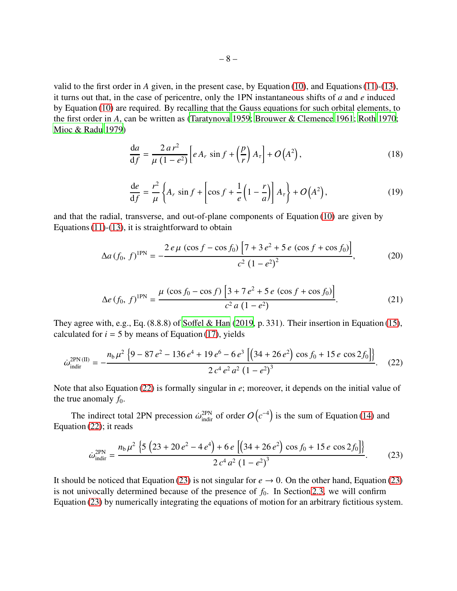valid to the first order in *A* given, in the present case, by Equation [\(10\)](#page-5-2), and Equations [\(11\)](#page-6-2)-[\(13\)](#page-6-3), it turns out that, in the case of pericentre, only the 1PN instantaneous shifts of *a* and *e* induced by Equation [\(10\)](#page-5-2) are required. By recalling that the Gauss equations for such orbital elements, to the first order in *A*, can be written as [\(Taratynova 1959](#page-24-15); [Brouwer & Clemence 1961;](#page-22-8) [Roth 1970;](#page-24-16) [Mioc & Radu 1979\)](#page-23-18)

$$
\frac{\mathrm{d}a}{\mathrm{d}f} = \frac{2\,a\,r^2}{\mu\,(1-e^2)} \left[ e\,A_r\,\sin f + \left(\frac{p}{r}\right)A_r \right] + O\left(A^2\right),\tag{18}
$$

<span id="page-7-3"></span><span id="page-7-2"></span>
$$
\frac{de}{df} = \frac{r^2}{\mu} \left\{ A_r \sin f + \left[ \cos f + \frac{1}{e} \left( 1 - \frac{r}{a} \right) \right] A_\tau \right\} + O\left(A^2\right),\tag{19}
$$

and that the radial, transverse, and out-of-plane components of Equation [\(10\)](#page-5-2) are given by Equations  $(11)-(13)$  $(11)-(13)$  $(11)-(13)$ , it is straightforward to obtain

$$
\Delta a (f_0, f)^{1PN} = -\frac{2 e \mu (\cos f - \cos f_0) \left[7 + 3 e^2 + 5 e (\cos f + \cos f_0)\right]}{c^2 (1 - e^2)^2},
$$
(20)

<span id="page-7-0"></span>
$$
\Delta e (f_0, f)^{1PN} = \frac{\mu (\cos f_0 - \cos f) \left[3 + 7 e^2 + 5 e (\cos f + \cos f_0)\right]}{c^2 a (1 - e^2)}.
$$
 (21)

They agree with, e.g., Eq.  $(8.8.8)$  of Soff[el & Han](#page-24-12)  $(2019, p. 331)$  $(2019, p. 331)$ . Their insertion in Equation  $(15)$ , calculated for  $i = 5$  by means of Equation [\(17\)](#page-6-5), yields

$$
\dot{\omega}_{\text{indir}}^{\text{2PN (II)}} = -\frac{n_{\text{b}}\mu^2 \left\{9 - 87 e^2 - 136 e^4 + 19 e^6 - 6 e^3 \left[\left(34 + 26 e^2\right) \cos f_0 + 15 e \cos 2f_0\right]\right\}}{2 c^4 e^2 a^2 \left(1 - e^2\right)^3}.
$$
 (22)

Note that also Equation [\(22\)](#page-7-0) is formally singular in *e*; moreover, it depends on the initial value of the true anomaly  $f_0$ .

The indirect total 2PN precession  $\dot{\omega}_{\text{indir}}^{\text{2PN}}$  of order  $O(c^{-4})$  is the sum of Equation [\(14\)](#page-6-0) and Equation [\(22\)](#page-7-0); it reads

<span id="page-7-1"></span>
$$
\dot{\omega}_{\text{indir}}^{\text{2PN}} = \frac{n_{\text{b}}\mu^2 \left\{ 5 \left( 23 + 20 e^2 - 4 e^4 \right) + 6 e \left[ \left( 34 + 26 e^2 \right) \cos f_0 + 15 e \cos 2f_0 \right] \right\}}{2 c^4 a^2 \left( 1 - e^2 \right)^3}.
$$
 (23)

It should be noticed that Equation [\(23\)](#page-7-1) is not singular for  $e \rightarrow 0$ . On the other hand, Equation (23) is not univocally determined because of the presence of  $f_0$ . In Section [2.3,](#page-8-0) we will confirm Equation [\(23\)](#page-7-1) by numerically integrating the equations of motion for an arbitrary fictitious system.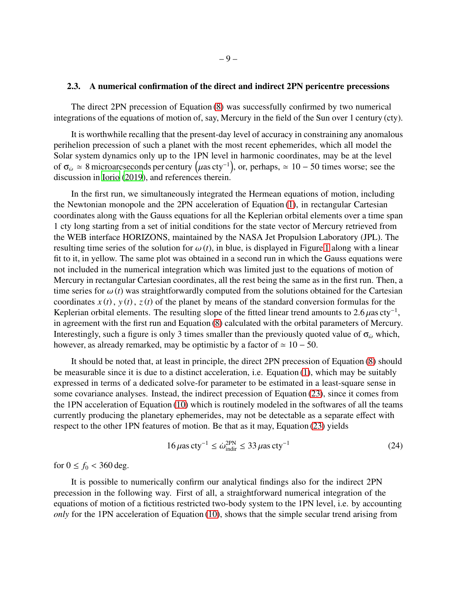## <span id="page-8-0"></span>2.3. A numerical confirmation of the direct and indirect 2PN pericentre precessions

The direct 2PN precession of Equation [\(8\)](#page-5-1) was successfully confirmed by two numerical integrations of the equations of motion of, say, Mercury in the field of the Sun over 1 century (cty).

It is worthwhile recalling that the present-day level of accuracy in constraining any anomalous perihelion precession of such a planet with the most recent ephemerides, which all model the Solar system dynamics only up to the 1PN level in harmonic coordinates, may be at the level of  $\sigma_{\omega} \simeq 8$  microarcseconds per century  $(\mu \text{as} \text{ cty}^{-1})$ , or, perhaps,  $\simeq 10 - 50$  times worse; see the discussion in [Iorio \(2019](#page-23-19)), and references therein.

In the first run, we simultaneously integrated the Hermean equations of motion, including the Newtonian monopole and the 2PN acceleration of Equation [\(1\)](#page-3-2), in rectangular Cartesian coordinates along with the Gauss equations for all the Keplerian orbital elements over a time span 1 cty long starting from a set of initial conditions for the state vector of Mercury retrieved from the WEB interface HORIZONS, maintained by the NASA Jet Propulsion Laboratory (JPL). The resulting time series of the solution for  $\omega(t)$ , in blue, is displayed in Figure [1](#page-20-0) along with a linear fit to it, in yellow. The same plot was obtained in a second run in which the Gauss equations were not included in the numerical integration which was limited just to the equations of motion of Mercury in rectangular Cartesian coordinates, all the rest being the same as in the first run. Then, a time series for  $\omega(t)$  was straightforwardly computed from the solutions obtained for the Cartesian coordinates  $x(t)$ ,  $y(t)$ ,  $z(t)$  of the planet by means of the standard conversion formulas for the Keplerian orbital elements. The resulting slope of the fitted linear trend amounts to 2.6  $\mu$ as cty<sup>-1</sup>, in agreement with the first run and Equation [\(8\)](#page-5-1) calculated with the orbital parameters of Mercury. Interestingly, such a figure is only 3 times smaller than the previously quoted value of  $\sigma_{\omega}$  which, however, as already remarked, may be optimistic by a factor of  $\simeq 10 - 50$ .

It should be noted that, at least in principle, the direct 2PN precession of Equation [\(8\)](#page-5-1) should be measurable since it is due to a distinct acceleration, i.e. Equation [\(1\)](#page-3-2), which may be suitably expressed in terms of a dedicated solve-for parameter to be estimated in a least-square sense in some covariance analyses. Instead, the indirect precession of Equation [\(23\)](#page-7-1), since it comes from the 1PN acceleration of Equation [\(10\)](#page-5-2) which is routinely modeled in the softwares of all the teams currently producing the planetary ephemerides, may not be detectable as a separate effect with respect to the other 1PN features of motion. Be that as it may, Equation [\(23\)](#page-7-1) yields

$$
16\,\mu\text{as} \,\text{cty}^{-1} \leq \dot{\omega}_{\text{indir}}^{\text{2PN}} \leq 33\,\mu\text{as} \,\text{cty}^{-1} \tag{24}
$$

for  $0 \le f_0 < 360 \text{ deg.}$ 

It is possible to numerically confirm our analytical findings also for the indirect 2PN precession in the following way. First of all, a straightforward numerical integration of the equations of motion of a fictitious restricted two-body system to the 1PN level, i.e. by accounting *only* for the 1PN acceleration of Equation [\(10\)](#page-5-2), shows that the simple secular trend arising from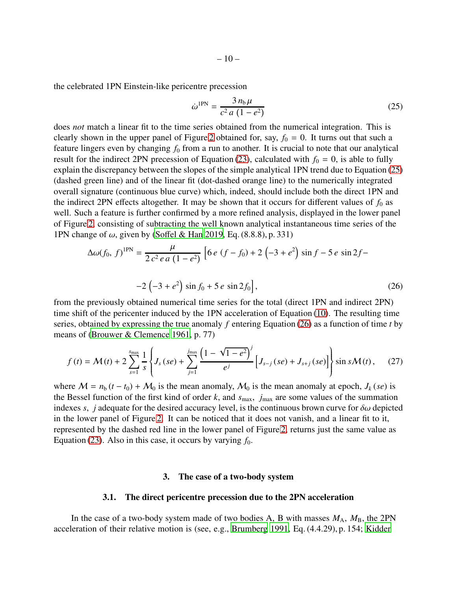the celebrated 1PN Einstein-like pericentre precession

<span id="page-9-3"></span><span id="page-9-2"></span>
$$
\dot{\omega}^{\text{1PN}} = \frac{3 n_{\text{b}} \mu}{c^2 a (1 - e^2)}
$$
 (25)

does *not* match a linear fit to the time series obtained from the numerical integration. This is clearly shown in the upper panel of Figure [2](#page-21-0) obtained for, say,  $f_0 = 0$ . It turns out that such a feature lingers even by changing  $f_0$  from a run to another. It is crucial to note that our analytical result for the indirect 2PN precession of Equation [\(23\)](#page-7-1), calculated with  $f_0 = 0$ , is able to fully explain the discrepancy between the slopes of the simple analytical 1PN trend due to Equation [\(25\)](#page-9-2) (dashed green line) and of the linear fit (dot-dashed orange line) to the numerically integrated overall signature (continuous blue curve) which, indeed, should include both the direct 1PN and the indirect 2PN effects altogether. It may be shown that it occurs for different values of  $f_0$  as well. Such a feature is further confirmed by a more refined analysis, displayed in the lower panel of Figure [2,](#page-21-0) consisting of subtracting the well known analytical instantaneous time series of the 1PN change of  $\omega$ , given by (Soff[el & Han 2019,](#page-24-12) Eq. (8.8.8), p. 331)

$$
\Delta\omega(f_0, f)^{1PN} = \frac{\mu}{2c^2 e a (1 - e^2)} \left[ 6 e (f - f_0) + 2 (-3 + e^2) \sin f - 5 e \sin 2f - 2 (-3 + e^2) \sin f_0 + 5 e \sin 2f_0 \right],
$$
\n(26)

from the previously obtained numerical time series for the total (direct 1PN and indirect 2PN) time shift of the pericenter induced by the 1PN acceleration of Equation [\(10\)](#page-5-2). The resulting time series, obtained by expressing the true anomaly *f* entering Equation [\(26\)](#page-9-3) as a function of time *t* by means of [\(Brouwer & Clemence 1961](#page-22-8), p. 77)

$$
f(t) = \mathcal{M}(t) + 2\sum_{s=1}^{s_{\text{max}}} \frac{1}{s} \left\{ J_s(se) + \sum_{j=1}^{j_{\text{max}}} \frac{\left(1 - \sqrt{1 - e^2}\right)^j}{e^j} \left[ J_{s-j}(se) + J_{s+j}(se) \right] \right\} \sin s \mathcal{M}(t), \quad (27)
$$

where  $M = n_b (t - t_0) + M_0$  is the mean anomaly,  $M_0$  is the mean anomaly at epoch,  $J_k (se)$  is the Bessel function of the first kind of order  $k$ , and  $s_{\text{max}}$ ,  $j_{\text{max}}$  are some values of the summation indexes *s*, *j* adequate for the desired accuracy level, is the continuous brown curve for  $\delta\omega$  depicted in the lower panel of Figure [2.](#page-21-0) It can be noticed that it does not vanish, and a linear fit to it, represented by the dashed red line in the lower panel of Figure [2,](#page-21-0) returns just the same value as Equation [\(23\)](#page-7-1). Also in this case, it occurs by varying  $f_0$ .

#### 3. The case of a two-body system

#### 3.1. The direct pericentre precession due to the 2PN acceleration

<span id="page-9-1"></span><span id="page-9-0"></span>In the case of a two-body system made of two bodies A, B with masses  $M_A$ ,  $M_B$ , the 2PN acceleration of their relative motion is (see, e.g., [Brumberg 1991](#page-22-10), Eq. (4.4.29), p. 154; [Kidder](#page-23-20)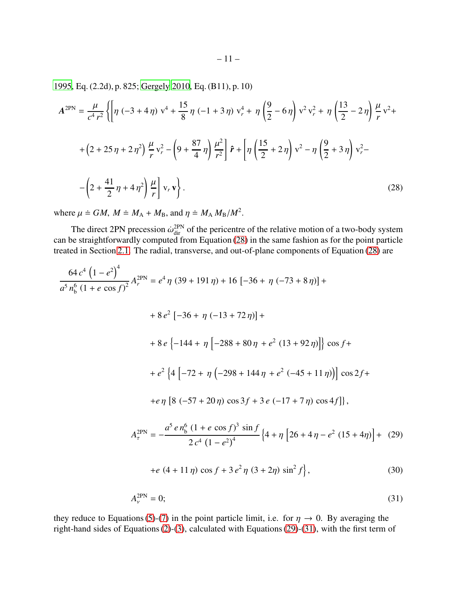[1995,](#page-23-20) Eq. (2.2d), p. 825; [Gergely 2010,](#page-22-19) Eq. (B11), p. 10)

$$
A^{2PN} = \frac{\mu}{c^4 r^2} \left\{ \left[ \eta \left( -3 + 4 \eta \right) v^4 + \frac{15}{8} \eta \left( -1 + 3 \eta \right) v_r^4 + \eta \left( \frac{9}{2} - 6 \eta \right) v^2 v_r^2 + \eta \left( \frac{13}{2} - 2 \eta \right) \frac{\mu}{r} v^2 + \right. \\ \left. + \left( 2 + 25 \eta + 2 \eta^2 \right) \frac{\mu}{r} v_r^2 - \left( 9 + \frac{87}{4} \eta \right) \frac{\mu^2}{r^2} \right] \hat{\mathbf{r}} + \left[ \eta \left( \frac{15}{2} + 2 \eta \right) v^2 - \eta \left( \frac{9}{2} + 3 \eta \right) v_r^2 - \right. \\ \left. - \left( 2 + \frac{41}{2} \eta + 4 \eta^2 \right) \frac{\mu}{r} \right] v_r \mathbf{v} \right\} . \tag{28}
$$

<span id="page-10-0"></span>where  $\mu \doteq GM$ ,  $M \doteq M_A + M_B$ , and  $\eta \doteq M_A M_B/M^2$ .

The direct 2PN precession  $\dot{\omega}_{\text{dir}}^{2PN}$  of the pericentre of the relative motion of a two-body system can be straightforwardly computed from Equation [\(28\)](#page-10-0) in the same fashion as for the point particle treated in Section [2.1.](#page-3-1) The radial, transverse, and out-of-plane components of Equation [\(28\)](#page-10-0) are

$$
\frac{64 c^4 (1 - e^2)^4}{a^5 n_b^6 (1 + e \cos f)^2} A_r^{\text{2PN}} = e^4 \eta (39 + 191 \eta) + 16 [-36 + \eta (-73 + 8 \eta)] +
$$
  
+8 e^2 [-36 + \eta (-13 + 72 \eta)] +  
+8 e \{-144 + \eta [-288 + 80 \eta + e^2 (13 + 92 \eta)]\} \cos f +  
+e^2 \{4 [-72 + \eta (-298 + 144 \eta + e^2 (-45 + 11 \eta))] \cos 2f +  
+e \eta [8 (-57 + 20 \eta) \cos 3f + 3 e (-17 + 7 \eta) \cos 4f]\},  

$$
A_r^{\text{2PN}} = -\frac{a^5 e n_b^6 (1 + e \cos f)^3 \sin f}{2 c^4 (1 - e^2)^4} \{4 + \eta [26 + 4 \eta - e^2 (15 + 4 \eta)] + (29)
$$
  
+e (4 + 11 \eta) \cos f + 3 e^2 \eta (3 + 2 \eta) \sin^2 f\}, (30)

<span id="page-10-2"></span><span id="page-10-1"></span>
$$
A_{\nu}^{\text{2PN}} = 0; \tag{31}
$$

they reduce to Equations [\(5\)](#page-4-2)-[\(7\)](#page-4-3) in the point particle limit, i.e. for  $\eta \to 0$ . By averaging the right-hand sides of Equations [\(2\)](#page-3-3)-[\(3\)](#page-4-0), calculated with Equations [\(29\)](#page-10-1)-[\(31\)](#page-10-2), with the first term of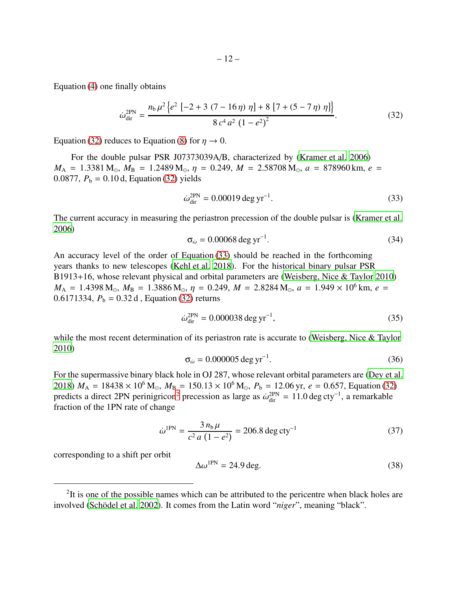Equation [\(4\)](#page-4-1) one finally obtains

<span id="page-11-0"></span>
$$
\dot{\omega}_{\text{dir}}^{\text{2PN}} = \frac{n_{\text{b}}\mu^2 \left\{ e^2 \left[ -2 + 3 \left( 7 - 16 \eta \right) \eta \right] + 8 \left[ 7 + \left( 5 - 7 \eta \right) \eta \right] \right\}}{8 \, c^4 \, a^2 \left( 1 - e^2 \right)^2}.
$$
\n(32)

Equation [\(32\)](#page-11-0) reduces to Equation [\(8\)](#page-5-1) for  $\eta \to 0$ .

For the double pulsar PSR J07373039A/B, characterized by [\(Kramer et al. 2006\)](#page-23-21)  $M_A$  = 1.3381 M<sub>o</sub>,  $M_B$  = 1.2489 M<sub>o</sub>,  $\eta$  = 0.249,  $M$  = 2.58708 M<sub>o</sub>,  $a$  = 878960 km,  $e$  = 0.0877,  $P_b = 0.10$  d, Equation [\(32\)](#page-11-0) yields

<span id="page-11-1"></span>
$$
\dot{\omega}_{\text{dir}}^{\text{2PN}} = 0.00019 \text{ deg yr}^{-1}.
$$
\n(33)

The current accuracy in measuring the periastron precession of the double pulsar is [\(Kramer et al.](#page-23-21) [2006\)](#page-23-21)

$$
\sigma_{\omega} = 0.00068 \text{ deg yr}^{-1}.
$$
\n
$$
(34)
$$

An accuracy level of the order of Equation [\(33\)](#page-11-1) should be reached in the forthcoming years thanks to new telescopes [\(Kehl et al. 2018\)](#page-23-22). For the historical binary pulsar PSR B1913+16, whose relevant physical and orbital parameters are [\(Weisberg, Nice & Taylor 2010\)](#page-24-19)  $M_A = 1.4398 M_{\odot}$ ,  $M_B = 1.3886 M_{\odot}$ ,  $\eta = 0.249$ ,  $M = 2.8284 M_{\odot}$ ,  $a = 1.949 \times 10^6$  km,  $e =$ 0.6171334,  $P_b = 0.32$  d, Equation [\(32\)](#page-11-0) returns

<span id="page-11-3"></span>
$$
\dot{\omega}_{\rm dir}^{\rm 2PN} = 0.000038 \deg \, \text{yr}^{-1},\tag{35}
$$

while the most recent determination of its periastron rate is accurate to [\(Weisberg, Nice & Taylor](#page-24-19) [2010\)](#page-24-19)

$$
\sigma_{\omega} = 0.000005 \deg \mathrm{yr}^{-1}.\tag{36}
$$

For the supermassive binary black hole in OJ 287, whose relevant orbital parameters are [\(Dey et al.](#page-22-12) [2018\)](#page-22-12)  $M_A = 18438 \times 10^6$  M<sub>\ot 2</sub>,  $M_B = 150.13 \times 10^6$  M<sub>\ot 2</sub>,  $P_b = 12.06$  yr,  $e = 0.657$ , Equation [\(32\)](#page-11-0) predicts a direct [2](#page-11-2)PN perinigricon<sup>2</sup> precession as large as  $\dot{\omega}_{dir}^{2PN} = 11.0 \deg cty^{-1}$ , a remarkable fraction of the 1PN rate of change

<span id="page-11-4"></span>
$$
\dot{\omega}^{\text{1PN}} = \frac{3 n_b \mu}{c^2 a (1 - e^2)} = 206.8 \text{ deg cty}^{-1}
$$
 (37)

corresponding to a shift per orbit

$$
\Delta \omega^{\text{1PN}} = 24.9 \text{ deg.}
$$
\n(38)

<span id="page-11-2"></span><sup>&</sup>lt;sup>2</sup>It is one of the possible names which can be attributed to the pericentre when black holes are involved (Schödel et al. 2002). It comes from the Latin word "*niger*", meaning "black".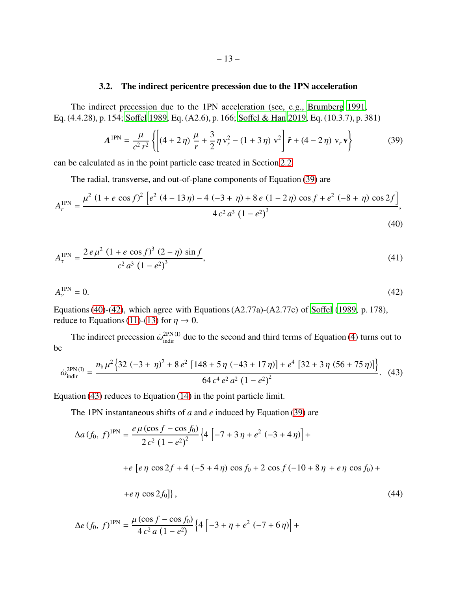## 3.2. The indirect pericentre precession due to the 1PN acceleration

<span id="page-12-0"></span>The indirect precession due to the 1PN acceleration (see, e.g., [Brumberg 1991](#page-22-10), Eq. (4.4.28), p. 154; [So](#page-24-9)ffel [1989,](#page-24-9) Eq. (A2.6), p. 166; Soff[el & Han 2019](#page-24-12), Eq. (10.3.7), p. 381)

<span id="page-12-3"></span><span id="page-12-2"></span><span id="page-12-1"></span>
$$
A^{1PN} = \frac{\mu}{c^2 r^2} \left\{ \left[ (4 + 2 \eta) \frac{\mu}{r} + \frac{3}{2} \eta v_r^2 - (1 + 3 \eta) v^2 \right] \hat{\mathbf{r}} + (4 - 2 \eta) v_r \mathbf{v} \right\}
$$
(39)

can be calculated as in the point particle case treated in Section [2.2.](#page-5-0)

The radial, transverse, and out-of-plane components of Equation [\(39\)](#page-12-1) are

$$
A_r^{\text{IPN}} = \frac{\mu^2 (1 + e \cos f)^2 \left[ e^2 (4 - 13 \eta) - 4 (-3 + \eta) + 8 e (1 - 2 \eta) \cos f + e^2 (-8 + \eta) \cos 2f \right]}{4 c^2 a^3 (1 - e^2)^3},\tag{40}
$$

$$
A_{\tau}^{\text{IPN}} = \frac{2 e \mu^2 (1 + e \cos f)^3 (2 - \eta) \sin f}{c^2 a^3 (1 - e^2)^3},\tag{41}
$$

$$
A_{\nu}^{\text{1PN}} = 0. \tag{42}
$$

Equations [\(40\)](#page-12-2)-[\(42\)](#page-12-3), which agree with Equations (A2.77a)-(A2.77c) of [So](#page-24-9)ffel [\(1989](#page-24-9), p. 178), reduce to Equations [\(11\)](#page-6-2)-[\(13\)](#page-6-3) for  $\eta \to 0$ .

<span id="page-12-4"></span>The indirect precession  $\dot{\omega}_{\text{indir}}^{2PN}$  due to the second and third terms of Equation [\(4\)](#page-4-1) turns out to be

$$
\dot{\omega}_{\text{indir}}^{\text{2PN (I)}} = \frac{n_{\text{b}}\mu^2 \left\{ 32 \left( -3 + \eta \right)^2 + 8 \, e^2 \left[ 148 + 5 \, \eta \, \left( -43 + 17 \, \eta \right) \right] + e^4 \left[ 32 + 3 \, \eta \, \left( 56 + 75 \, \eta \right) \right] \right\}}{64 \, c^4 \, e^2 \, a^2 \left( 1 - e^2 \right)^2}.
$$

Equation [\(43\)](#page-12-4) reduces to Equation [\(14\)](#page-6-0) in the point particle limit.

The 1PN instantaneous shifts of *a* and *e* induced by Equation [\(39\)](#page-12-1) are

$$
\Delta a (f_0, f)^{1PN} = \frac{e \mu (\cos f - \cos f_0)}{2 c^2 (1 - e^2)^2} \left\{ 4 \left[ -7 + 3 \eta + e^2 (-3 + 4 \eta) \right] +
$$
  
+e [e \eta \cos 2f + 4 (-5 + 4 \eta) \cos f\_0 + 2 \cos f (-10 + 8 \eta + e \eta \cos f\_0) +  
+e \eta \cos 2f\_0 \right] \right\}, (44)

<span id="page-12-5"></span>
$$
\Delta e (f_0, f)^{1PN} = \frac{\mu (\cos f - \cos f_0)}{4 c^2 a (1 - e^2)} \left\{ 4 \left[ -3 + \eta + e^2 (-7 + 6 \eta) \right] + \right.
$$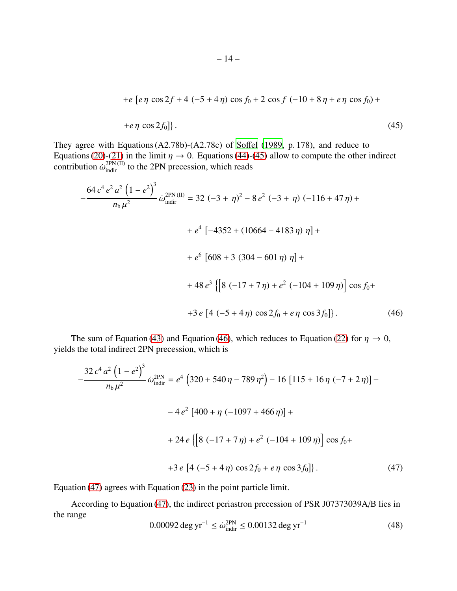<span id="page-13-0"></span>+
$$
e
$$
 [ $e\eta$  cos  $2f$  + 4  $(-5 + 4\eta)$  cos  $f_0$  + 2 cos  $f$   $(-10 + 8\eta + e\eta \cos f_0)$  +  
+ $e\eta$  cos  $2f_0$ ]. (45)

They agree with Equations (A2.78b)-(A2.78c) of [So](#page-24-9)ffel [\(1989](#page-24-9), p. 178), and reduce to Equations [\(20\)](#page-7-2)-[\(21\)](#page-7-3) in the limit  $\eta \to 0$ . Equations [\(44\)](#page-12-5)-[\(45\)](#page-13-0) allow to compute the other indirect contribution  $\dot{\omega}_{\text{indir}}^{\text{2PN (II)}}$  to the 2PN precession, which reads

$$
-\frac{64 c^4 e^2 a^2 (1 - e^2)^3}{n_b \mu^2} \dot{\omega}_{\text{indir}}^{2PN (II)} = 32 (-3 + \eta)^2 - 8 e^2 (-3 + \eta) (-116 + 47 \eta) +
$$
  
+  $e^4 [-4352 + (10664 - 4183 \eta) \eta] +$   
+  $e^6 [608 + 3 (304 - 601 \eta) \eta] +$   
+  $48 e^3 \{[8 (-17 + 7 \eta) + e^2 (-104 + 109 \eta)] \cos f_0 +$   
+  $3 e [4 (-5 + 4 \eta) \cos 2f_0 + e \eta \cos 3f_0]\}.$  (46)

The sum of Equation [\(43\)](#page-12-4) and Equation [\(46\)](#page-13-1), which reduces to Equation [\(22\)](#page-7-0) for  $\eta \to 0$ , yields the total indirect 2PN precession, which is

<span id="page-13-1"></span>
$$
-\frac{32 c^4 a^2 (1 - e^2)^3}{n_b \mu^2} \omega_{\text{indir}}^{2PN} = e^4 (320 + 540 \eta - 789 \eta^2) - 16 [115 + 16 \eta (-7 + 2 \eta)] -
$$
  

$$
-4 e^2 [400 + \eta (-1097 + 466 \eta)] +
$$
  

$$
+ 24 e \{ [8 (-17 + 7 \eta) + e^2 (-104 + 109 \eta)] \cos f_0 +
$$
  

$$
+3 e [4 (-5 + 4 \eta) \cos 2f_0 + e \eta \cos 3f_0] \}.
$$
 (47)

Equation [\(47\)](#page-13-2) agrees with Equation [\(23\)](#page-7-1) in the point particle limit.

According to Equation [\(47\)](#page-13-2), the indirect periastron precession of PSR J07373039A/B lies in the range

<span id="page-13-2"></span>
$$
0.00092 \deg yr^{-1} \le \dot{\omega}_{\text{indir}}^{2PN} \le 0.00132 \deg yr^{-1}
$$
 (48)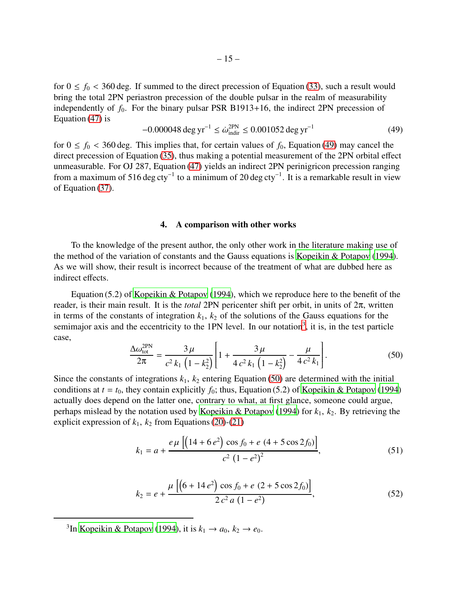for  $0 \le f_0 < 360$  deg. If summed to the direct precession of Equation [\(33\)](#page-11-1), such a result would bring the total 2PN periastron precession of the double pulsar in the realm of measurability independently of  $f_0$ . For the binary pulsar PSR B1913+16, the indirect 2PN precession of Equation [\(47\)](#page-13-2) is

<span id="page-14-1"></span>
$$
-0.000048 \deg yr^{-1} \le \dot{\omega}_{\text{indir}}^{2PN} \le 0.001052 \deg yr^{-1}
$$
 (49)

for  $0 \le f_0 < 360$  deg. This implies that, for certain values of  $f_0$ , Equation [\(49\)](#page-14-1) may cancel the direct precession of Equation [\(35\)](#page-11-3), thus making a potential measurement of the 2PN orbital effect unmeasurable. For OJ 287, Equation [\(47\)](#page-13-2) yields an indirect 2PN perinigricon precession ranging from a maximum of 516 deg cty<sup>-1</sup> to a minimum of 20 deg cty<sup>-1</sup>. It is a remarkable result in view of Equation [\(37\)](#page-11-4).

#### 4. A comparison with other works

<span id="page-14-0"></span>To the knowledge of the present author, the only other work in the literature making use of the method of the variation of constants and the Gauss equations is [Kopeikin & Potapov](#page-23-2) [\(1994\)](#page-23-2). As we will show, their result is incorrect because of the treatment of what are dubbed here as indirect effects.

<span id="page-14-3"></span>Equation (5.2) of [Kopeikin & Potapov \(1994](#page-23-2)), which we reproduce here to the benefit of the reader, is their main result. It is the *total* 2PN pericenter shift per orbit, in units of 2π, written in terms of the constants of integration  $k_1$ ,  $k_2$  of the solutions of the Gauss equations for the semimajor axis and the eccentricity to the 1PN level. In our notation<sup>[3](#page-14-2)</sup>, it is, in the test particle case,

$$
\frac{\Delta\omega_{\text{tot}}^{\text{2PN}}}{2\pi} = \frac{3\,\mu}{c^2\,k_1\,\left(1 - k_2^2\right)} \left[1 + \frac{3\,\mu}{4\,c^2\,k_1\,\left(1 - k_2^2\right)} - \frac{\mu}{4\,c^2\,k_1}\right].\tag{50}
$$

Since the constants of integrations  $k_1$ ,  $k_2$  entering Equation [\(50\)](#page-14-3) are determined with the initial conditions at  $t = t_0$ , they contain explicitly  $f_0$ ; thus, Equation (5.2) of [Kopeikin & Potapov \(1994\)](#page-23-2) actually does depend on the latter one, contrary to what, at first glance, someone could argue, perhaps mislead by the notation used by [Kopeikin & Potapov \(1994](#page-23-2)) for  $k_1$ ,  $k_2$ . By retrieving the explicit expression of  $k_1$ ,  $k_2$  from Equations [\(20\)](#page-7-2)-[\(21\)](#page-7-3)

<span id="page-14-4"></span>
$$
k_1 = a + \frac{e \mu \left[ \left( 14 + 6 e^2 \right) \cos f_0 + e \left( 4 + 5 \cos 2 f_0 \right) \right]}{c^2 \left( 1 - e^2 \right)^2},
$$
\n(51)

<span id="page-14-5"></span>
$$
k_2 = e + \frac{\mu \left[ \left( 6 + 14 e^2 \right) \cos f_0 + e \left( 2 + 5 \cos 2 f_0 \right) \right]}{2 c^2 a \left( 1 - e^2 \right)},
$$
\n(52)

<span id="page-14-2"></span><sup>3</sup>In [Kopeikin & Potapov](#page-23-2) [\(1994\)](#page-23-2), it is  $k_1 \rightarrow a_0$ ,  $k_2 \rightarrow e_0$ .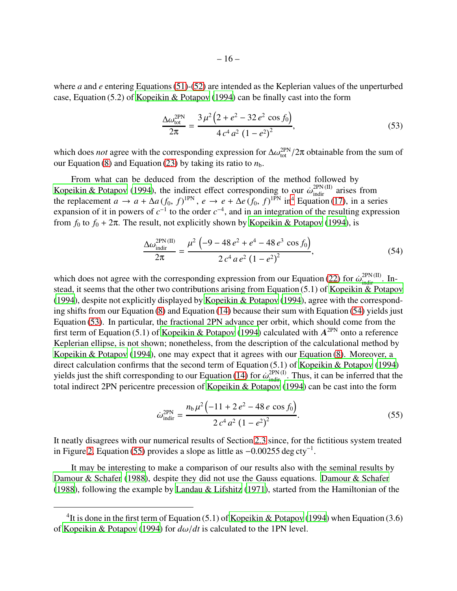where *a* and *e* entering Equations [\(51\)](#page-14-4)-[\(52\)](#page-14-5) are intended as the Keplerian values of the unperturbed case, Equation (5.2) of [Kopeikin & Potapov](#page-23-2) [\(1994\)](#page-23-2) can be finally cast into the form

<span id="page-15-1"></span>
$$
\frac{\Delta\omega_{\text{tot}}^{\text{2PN}}}{2\pi} = \frac{3\,\mu^2\left(2+e^2-32\,e^2\,\cos f_0\right)}{4\,c^4\,a^2\,\left(1-e^2\right)^2},\tag{53}
$$

which does *not* agree with the corresponding expression for  $\Delta\omega_{tot}^{2PN}/2\pi$  obtainable from the sum of our Equation [\(8\)](#page-5-1) and Equation [\(23\)](#page-7-1) by taking its ratio to  $n<sub>b</sub>$ .

From what can be deduced from the description of the method followed by [Kopeikin & Potapov](#page-23-2) [\(1994\)](#page-23-2), the indirect effect corresponding to our  $\dot{\omega}_{\text{indir}}^{2PN (II)}$  arises from the replacement  $a \to a + \Delta a (f_0, f)^{1PN}$ ,  $e \to e + \Delta e (f_0, f)^{1PN}$  in<sup>[4](#page-24-21)</sup> Equation [\(17\)](#page-6-5), in a series expansion of it in powers of  $c^{-1}$  to the order  $c^{-4}$ , and in an integration of the resulting expression from  $f_0$  to  $f_0 + 2\pi$ . The result, not explicitly shown by [Kopeikin & Potapov \(1994](#page-23-2)), is

<span id="page-15-0"></span>
$$
\frac{\Delta\omega_{\text{indir}}^{2\text{PN (II)}}}{2\pi} = \frac{\mu^2 \left(-9 - 48 e^2 + e^4 - 48 e^3 \cos f_0\right)}{2 c^4 a e^2 \left(1 - e^2\right)^2},\tag{54}
$$

which does not agree with the corresponding expression from our Equation [\(22\)](#page-7-0) for  $\dot{\omega}_{\text{indir}}^{2PN (II)}$ . Instead, it seems that the other two contributions arising from Equation (5.1) of [Kopeikin & Potapov](#page-23-2) [\(1994\)](#page-23-2), despite not explicitly displayed by [Kopeikin & Potapov](#page-23-2) [\(1994\)](#page-23-2), agree with the corresponding shifts from our Equation [\(8\)](#page-5-1) and Equation [\(14\)](#page-6-0) because their sum with Equation [\(54\)](#page-15-0) yields just Equation [\(53\)](#page-15-1). In particular, the fractional 2PN advance per orbit, which should come from the first term of Equation (5.1) of [Kopeikin & Potapov \(1994](#page-23-2)) calculated with  $A^{2PN}$  onto a reference Keplerian ellipse, is not shown; nonetheless, from the description of the calculational method by [Kopeikin & Potapov](#page-23-2) [\(1994\)](#page-23-2), one may expect that it agrees with our Equation [\(8\)](#page-5-1). Moreover, a direct calculation confirms that the second term of Equation (5.1) of [Kopeikin & Potapov](#page-23-2) [\(1994\)](#page-23-2) yields just the shift corresponding to our Equation [\(14\)](#page-6-0) for  $\dot{\omega}_{\text{indir}}^{2PN(I)}$ . Thus, it can be inferred that the total indirect 2PN pericentre precession of [Kopeikin & Potapov](#page-23-2) [\(1994\)](#page-23-2) can be cast into the form

<span id="page-15-2"></span>
$$
\dot{\omega}_{\text{indir}}^{\text{2PN}} = \frac{n_{\text{b}}\mu^2 \left( -11 + 2\,e^2 - 48\,e\,\cos f_0 \right)}{2\,c^4\,a^2\,\left( 1 - e^2 \right)^2}.\tag{55}
$$

It neatly disagrees with our numerical results of Section [2.3](#page-8-0) since, for the fictitious system treated in Figure [2,](#page-21-0) Equation [\(55\)](#page-15-2) provides a slope as little as  $-0.00255 \text{ deg cty}^{-1}$ .

It may be interesting to make a comparison of our results also with the seminal results by [Damour & Schafer](#page-22-2) [\(1988\)](#page-22-2), despite they did not use the Gauss equations. [Damour & Schafer](#page-22-2) [\(1988\)](#page-22-2), following the example by [Landau & Lifshitz \(1971](#page-23-23)), started from the Hamiltonian of the

<sup>&</sup>lt;sup>4</sup>It is done in the first term of Equation (5.1) of [Kopeikin & Potapov \(1994](#page-23-2)) when Equation (3.6) of [Kopeikin & Potapov \(1994](#page-23-2)) for *d*ω/*dt* is calculated to the 1PN level.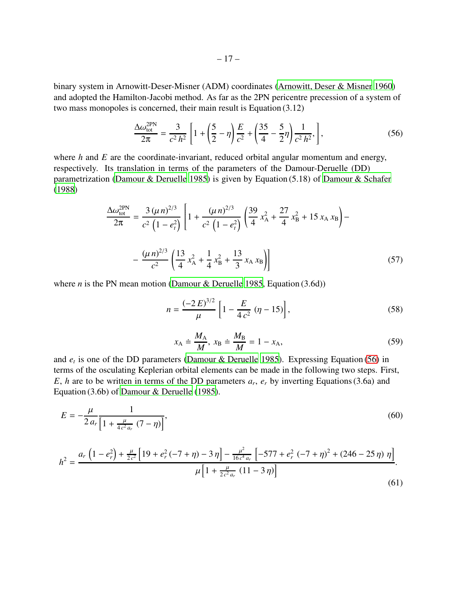binary system in Arnowitt-Deser-Misner (ADM) coordinates [\(Arnowitt, Deser & Misner 1960\)](#page-22-20) and adopted the Hamilton-Jacobi method. As far as the 2PN pericentre precession of a system of two mass monopoles is concerned, their main result is Equation (3.12)

<span id="page-16-0"></span>
$$
\frac{\Delta\omega_{\text{tot}}^{\text{2PN}}}{2\pi} = \frac{3}{c^2 \, h^2} \left[ 1 + \left(\frac{5}{2} - \eta\right) \frac{E}{c^2} + \left(\frac{35}{4} - \frac{5}{2}\eta\right) \frac{1}{c^2 \, h^2}, \right],\tag{56}
$$

where *h* and *E* are the coordinate-invariant, reduced orbital angular momentum and energy, respectively. Its translation in terms of the parameters of the Damour-Deruelle (DD) parametrization [\(Damour & Deruelle 1985\)](#page-22-21) is given by Equation (5.18) of [Damour & Schafer](#page-22-2) [\(1988\)](#page-22-2)

$$
\frac{\Delta\omega_{\text{tot}}^{2\text{PN}}}{2\pi} = \frac{3(\mu n)^{2/3}}{c^2 \left(1 - e_t^2\right)} \left[1 + \frac{(\mu n)^{2/3}}{c^2 \left(1 - e_t^2\right)} \left(\frac{39}{4} x_A^2 + \frac{27}{4} x_B^2 + 15 x_A x_B\right) - \frac{(\mu n)^{2/3}}{c^2} \left(\frac{13}{4} x_A^2 + \frac{1}{4} x_B^2 + \frac{13}{3} x_A x_B\right)\right]
$$
(57)

where *n* is the PN mean motion [\(Damour & Deruelle 1985](#page-22-21), Equation  $(3.6d)$ )

$$
n = \frac{(-2 E)^{3/2}}{\mu} \left[ 1 - \frac{E}{4 c^2} \left( \eta - 15 \right) \right],\tag{58}
$$

<span id="page-16-2"></span><span id="page-16-1"></span>
$$
x_{\mathbf{A}} \doteq \frac{M_{\mathbf{A}}}{M}, x_{\mathbf{B}} \doteq \frac{M_{\mathbf{B}}}{M} = 1 - x_{\mathbf{A}}, \tag{59}
$$

and *e<sup>t</sup>* is one of the DD parameters [\(Damour & Deruelle 1985\)](#page-22-21). Expressing Equation [\(56\)](#page-16-0) in terms of the osculating Keplerian orbital elements can be made in the following two steps. First, *E*, *h* are to be written in terms of the DD parameters  $a_r$ ,  $e_r$  by inverting Equations (3.6a) and Equation (3.6b) of [Damour & Deruelle](#page-22-21) [\(1985\)](#page-22-21).

$$
E = -\frac{\mu}{2 a_r} \frac{1}{\left[1 + \frac{\mu}{4c^2 a_r} (7 - \eta)\right]},
$$
(60)

$$
h^{2} = \frac{a_{r} \left(1 - e_{r}^{2}\right) + \frac{\mu}{2c^{2}} \left[19 + e_{r}^{2} \left(-7 + \eta\right) - 3\eta\right] - \frac{\mu^{2}}{16 c^{4} a_{r}} \left[-577 + e_{r}^{2} \left(-7 + \eta\right)^{2} + \left(246 - 25\eta\right)\eta\right]}{\mu \left[1 + \frac{\mu}{2c^{2} a_{r}} \left(11 - 3\eta\right)\right]}.
$$
\n(61)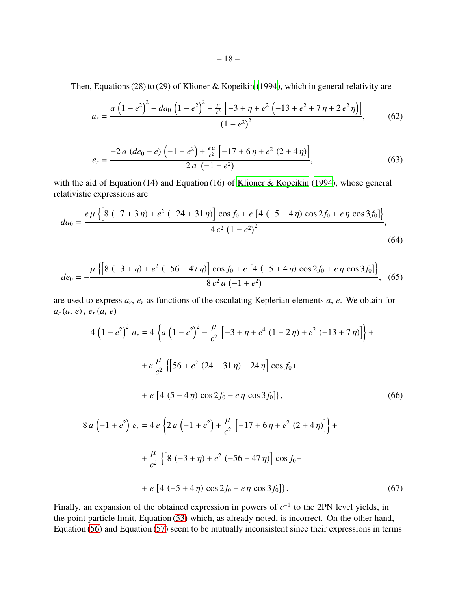Then, Equations (28) to (29) of [Klioner & Kopeikin](#page-23-8) [\(1994\)](#page-23-8), which in general relativity are

$$
a_r = \frac{a\left(1 - e^2\right)^2 - da_0\left(1 - e^2\right)^2 - \frac{\mu}{c^2} \left[-3 + \eta + e^2\left(-13 + e^2 + 7\eta + 2\,e^2\,\eta\right)\right]}{\left(1 - e^2\right)^2},\tag{62}
$$

$$
e_r = \frac{-2a (de_0 - e) \left(-1 + e^2\right) + \frac{e\mu}{c^2} \left[-17 + 6\eta + e^2 (2 + 4\eta)\right]}{2a \left(-1 + e^2\right)},\tag{63}
$$

with the aid of Equation (14) and Equation (16) of [Klioner & Kopeikin](#page-23-8) [\(1994\)](#page-23-8), whose general relativistic expressions are

$$
da_0 = \frac{e\,\mu\,\left\{\left[8\,\left(-7+3\,\eta\right)+e^2\,\left(-24+31\,\eta\right)\right]\cos f_0 + e\,\left[4\,\left(-5+4\,\eta\right)\cos 2f_0 + e\,\eta\,\cos 3f_0\right]\right\}}{4\,c^2\,\left(1-e^2\right)^2},\tag{64}
$$

$$
de_0 = -\frac{\mu \left\{ \left[ 8 \left( -3 + \eta \right) + e^2 \left( -56 + 47 \eta \right) \right] \cos f_0 + e \left[ 4 \left( -5 + 4 \eta \right) \cos 2f_0 + e \eta \cos 3f_0 \right] \right\}}{8 \, c^2 \, a \left( -1 + e^2 \right)}, \tag{65}
$$

are used to express *a<sup>r</sup>* , *e<sup>r</sup>* as functions of the osculating Keplerian elements *a*, *e*. We obtain for *a<sup>r</sup>* (*a*, *e*) , *e<sup>r</sup>* (*a*, *e*)

<span id="page-17-2"></span>
$$
4\left(1-e^{2}\right)^{2} a_{r} = 4\left\{a\left(1-e^{2}\right)^{2} - \frac{\mu}{c^{2}}\left[-3+\eta+e^{4}\left(1+2\eta\right)+e^{2}\left(-13+7\eta\right)\right]\right\} +
$$
  
+  $e\frac{\mu}{c^{2}}\left\{\left[56+e^{2}\left(24-31\eta\right)-24\eta\right]\cos f_{0}+$   
+  $e\left[4\left(5-4\eta\right)\cos 2f_{0}-e\eta\cos 3f_{0}\right]\right\},$  (66)  

$$
8a\left(-1+e^{2}\right)e_{r} = 4e\left\{2a\left(-1+e^{2}\right)+\frac{\mu}{c^{2}}\left[-17+6\eta+e^{2}\left(2+4\eta\right)\right]\right\} +
$$
  
+  $\frac{\mu}{c^{2}}\left\{\left[8\left(-3+\eta\right)+e^{2}\left(-56+47\eta\right)\right]\cos f_{0}+$ 

<span id="page-17-1"></span><span id="page-17-0"></span>+ 
$$
e
$$
 [4 (-5 + 4  $\eta$ ) cos 2 $f_0$  +  $e \eta$  cos 3 $f_0$ ]). (67)

Finally, an expansion of the obtained expression in powers of  $c^{-1}$  to the 2PN level yields, in the point particle limit, Equation [\(53\)](#page-15-1) which, as already noted, is incorrect. On the other hand, Equation [\(56\)](#page-16-0) and Equation [\(57\)](#page-16-1) seem to be mutually inconsistent since their expressions in terms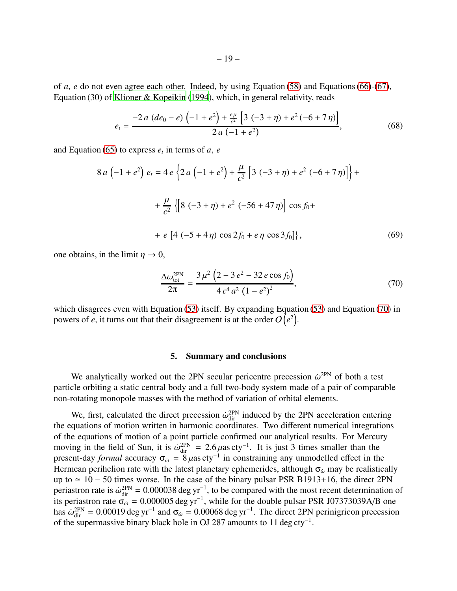of *a*, *e* do not even agree each other. Indeed, by using Equation [\(58\)](#page-16-2) and Equations [\(66\)](#page-17-0)-[\(67\)](#page-17-1), Equation (30) of [Klioner & Kopeikin](#page-23-8) [\(1994\)](#page-23-8), which, in general relativity, reads

$$
e_{t} = \frac{-2 a (de_0 - e) \left(-1 + e^2\right) + \frac{e \mu}{c^2} \left[3 \left(-3 + \eta\right) + e^2 \left(-6 + 7 \eta\right)\right]}{2 a \left(-1 + e^2\right)},\tag{68}
$$

and Equation [\(65\)](#page-17-2) to express  $e_t$  in terms of  $a$ ,  $e$ 

$$
8 a \left(-1 + e^{2}\right) e_{t} = 4 e \left\{2 a \left(-1 + e^{2}\right) + \frac{\mu}{c^{2}} \left[3 \left(-3 + \eta\right) + e^{2} \left(-6 + 7 \eta\right)\right]\right\} + \frac{\mu}{c^{2}} \left\{\left[8 \left(-3 + \eta\right) + e^{2} \left(-56 + 47 \eta\right)\right] \cos f_{0} + \right.
$$
  
 
$$
+ e \left[4 \left(-5 + 4 \eta\right) \cos 2f_{0} + e \eta \cos 3f_{0}\right]\right\},
$$
 (69)

one obtains, in the limit  $\eta \to 0$ ,

<span id="page-18-1"></span>
$$
\frac{\Delta\omega_{\text{tot}}^{\text{2PN}}}{2\pi} = \frac{3\,\mu^2\,\left(2 - 3\,e^2 - 32\,e\cos f_0\right)}{4\,c^4\,a^2\,\left(1 - e^2\right)^2},\tag{70}
$$

which disagrees even with Equation [\(53\)](#page-15-1) itself. By expanding Equation [\(53\)](#page-15-1) and Equation [\(70\)](#page-18-1) in powers of *e*, it turns out that their disagreement is at the order  $O(e^2)$ .

#### 5. Summary and conclusions

<span id="page-18-0"></span>We analytically worked out the 2PN secular pericentre precession  $\dot{\omega}^{\text{2PN}}$  of both a test particle orbiting a static central body and a full two-body system made of a pair of comparable non-rotating monopole masses with the method of variation of orbital elements.

We, first, calculated the direct precession  $\dot{\omega}_{\text{dir}}^{2PN}$  induced by the 2PN acceleration entering the equations of motion written in harmonic coordinates. Two different numerical integrations of the equations of motion of a point particle confirmed our analytical results. For Mercury moving in the field of Sun, it is  $\dot{\omega}_{\text{dir}}^{2PN} = 2.6 \,\mu \text{as} \,\text{cty}^{-1}$ . It is just 3 times smaller than the present-day *formal* accuracy  $\sigma_{\omega} = 8 \mu$ as cty<sup>-1</sup> in constraining any unmodelled effect in the Hermean perihelion rate with the latest planetary ephemerides, although  $\sigma_{\omega}$  may be realistically up to ≃ 10 − 50 times worse. In the case of the binary pulsar PSR B1913+16, the direct 2PN periastron rate is  $\dot{\omega}_{dir}^{2PN} = 0.000038 \text{ deg yr}^{-1}$ , to be compared with the most recent determination of its periastron rate  $\sigma_{\omega}^{\text{un}} = 0.000005 \text{ deg yr}^{-1}$ , while for the double pulsar PSR J07373039A/B one has  $\dot{\omega}_{\text{dir}}^{\text{2PN}} = 0.00019 \text{ deg yr}^{-1}$  and  $\sigma_{\omega} = 0.00068 \text{ deg yr}^{-1}$ . The direct 2PN perinigricon precession of the supermassive binary black hole in OJ 287 amounts to 11 deg cty<sup>-1</sup>.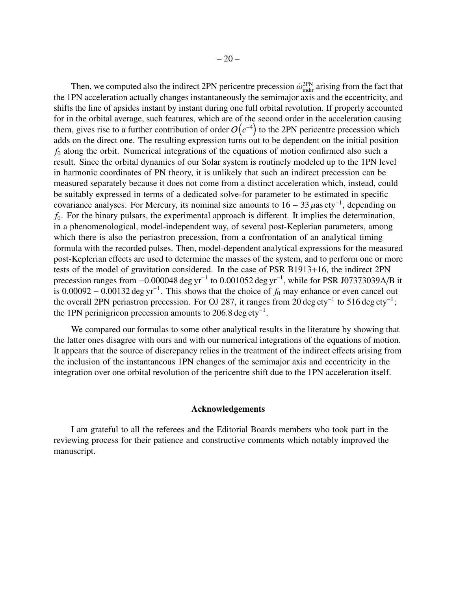Then, we computed also the indirect 2PN pericentre precession  $\dot{\omega}_{\text{indir}}^{\text{2PN}}$  arising from the fact that the 1PN acceleration actually changes instantaneously the semimajor axis and the eccentricity, and shifts the line of apsides instant by instant during one full orbital revolution. If properly accounted for in the orbital average, such features, which are of the second order in the acceleration causing them, gives rise to a further contribution of order  $O(c^{-4})$  to the 2PN pericentre precession which adds on the direct one. The resulting expression turns out to be dependent on the initial position *f*<sup>0</sup> along the orbit. Numerical integrations of the equations of motion confirmed also such a result. Since the orbital dynamics of our Solar system is routinely modeled up to the 1PN level in harmonic coordinates of PN theory, it is unlikely that such an indirect precession can be measured separately because it does not come from a distinct acceleration which, instead, could be suitably expressed in terms of a dedicated solve-for parameter to be estimated in specific covariance analyses. For Mercury, its nominal size amounts to  $16 - 33 \mu$ as cty<sup>-1</sup>, depending on *f*0. For the binary pulsars, the experimental approach is different. It implies the determination, in a phenomenological, model-independent way, of several post-Keplerian parameters, among which there is also the periastron precession, from a confrontation of an analytical timing formula with the recorded pulses. Then, model-dependent analytical expressions for the measured post-Keplerian effects are used to determine the masses of the system, and to perform one or more tests of the model of gravitation considered. In the case of PSR B1913+16, the indirect 2PN precession ranges from  $-0.000048$  deg yr<sup>-1</sup> to 0.001052 deg yr<sup>-1</sup>, while for PSR J07373039A/B it is 0.00092 – 0.00132 deg yr<sup>-1</sup>. This shows that the choice of  $f_0$  may enhance or even cancel out the overall 2PN periastron precession. For OJ 287, it ranges from 20 deg cty<sup>-1</sup> to 516 deg cty<sup>-1</sup>; the 1PN perinigricon precession amounts to 206.8 deg cty<sup>-1</sup>.

We compared our formulas to some other analytical results in the literature by showing that the latter ones disagree with ours and with our numerical integrations of the equations of motion. It appears that the source of discrepancy relies in the treatment of the indirect effects arising from the inclusion of the instantaneous 1PN changes of the semimajor axis and eccentricity in the integration over one orbital revolution of the pericentre shift due to the 1PN acceleration itself.

# Acknowledgements

I am grateful to all the referees and the Editorial Boards members who took part in the reviewing process for their patience and constructive comments which notably improved the manuscript.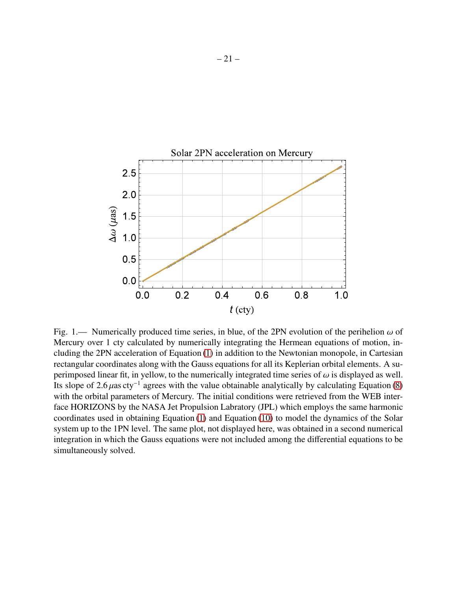

<span id="page-20-0"></span>Fig. 1.— Numerically produced time series, in blue, of the 2PN evolution of the perihelion  $\omega$  of Mercury over 1 cty calculated by numerically integrating the Hermean equations of motion, including the 2PN acceleration of Equation [\(1\)](#page-3-2) in addition to the Newtonian monopole, in Cartesian rectangular coordinates along with the Gauss equations for all its Keplerian orbital elements. A superimposed linear fit, in yellow, to the numerically integrated time series of  $\omega$  is displayed as well. Its slope of 2.6  $\mu$ as cty<sup>-1</sup> agrees with the value obtainable analytically by calculating Equation [\(8\)](#page-5-1) with the orbital parameters of Mercury. The initial conditions were retrieved from the WEB interface HORIZONS by the NASA Jet Propulsion Labratory (JPL) which employs the same harmonic coordinates used in obtaining Equation [\(1\)](#page-3-2) and Equation [\(10\)](#page-5-2) to model the dynamics of the Solar system up to the 1PN level. The same plot, not displayed here, was obtained in a second numerical integration in which the Gauss equations were not included among the differential equations to be simultaneously solved.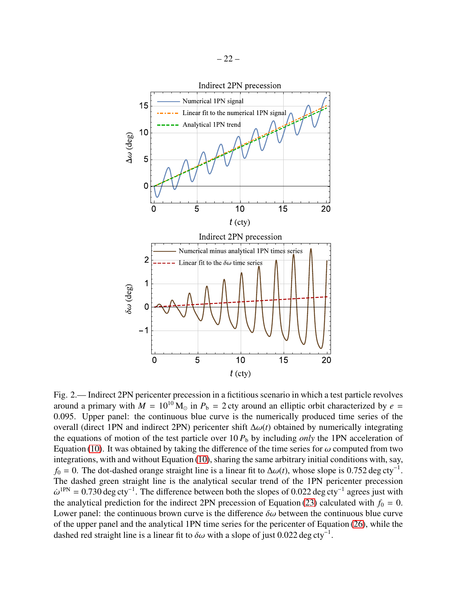

<span id="page-21-0"></span>Fig. 2.— Indirect 2PN pericenter precession in a fictitious scenario in which a test particle revolves around a primary with  $M = 10^{10} M_{\odot}$  in  $P_b = 2$  cty around an elliptic orbit characterized by  $e =$ 0.095. Upper panel: the continuous blue curve is the numerically produced time series of the overall (direct 1PN and indirect 2PN) pericenter shift ∆ω(*t*) obtained by numerically integrating the equations of motion of the test particle over  $10 P_b$  by including *only* the 1PN acceleration of Equation [\(10\)](#page-5-2). It was obtained by taking the difference of the time series for  $\omega$  computed from two integrations, with and without Equation [\(10\)](#page-5-2), sharing the same arbitrary initial conditions with, say,  $f_0 = 0$ . The dot-dashed orange straight line is a linear fit to  $\Delta\omega(t)$ , whose slope is 0.752 deg cty<sup>-1</sup>. The dashed green straight line is the analytical secular trend of the 1PN pericenter precession  $\dot{\omega}^{1PN} = 0.730 \text{ deg cty}^{-1}$ . The difference between both the slopes of 0.022 deg cty<sup>-1</sup> agrees just with the analytical prediction for the indirect 2PN precession of Equation [\(23\)](#page-7-1) calculated with  $f_0 = 0$ . Lower panel: the continuous brown curve is the difference  $\delta\omega$  between the continuous blue curve of the upper panel and the analytical 1PN time series for the pericenter of Equation [\(26\)](#page-9-3), while the dashed red straight line is a linear fit to  $\delta \omega$  with a slope of just 0.022 deg cty<sup>-1</sup>.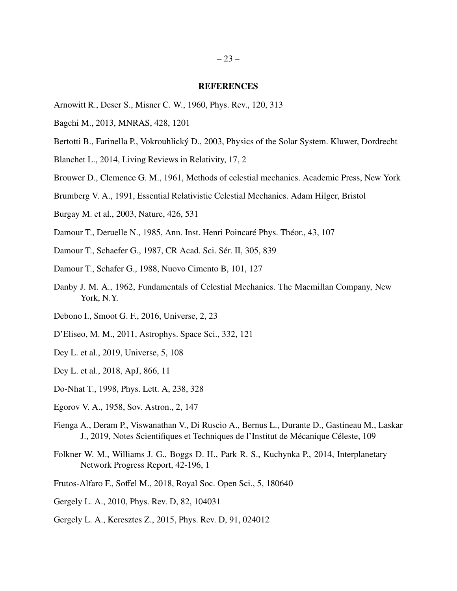#### **REFERENCES**

- <span id="page-22-20"></span>Arnowitt R., Deser S., Misner C. W., 1960, Phys. Rev., 120, 313
- <span id="page-22-5"></span>Bagchi M., 2013, MNRAS, 428, 1201
- <span id="page-22-11"></span>Bertotti B., Farinella P., Vokrouhlický D., 2003, Physics of the Solar System. Kluwer, Dordrecht
- <span id="page-22-6"></span>Blanchet L., 2014, Living Reviews in Relativity, 17, 2
- <span id="page-22-8"></span>Brouwer D., Clemence G. M., 1961, Methods of celestial mechanics. Academic Press, New York
- <span id="page-22-10"></span>Brumberg V. A., 1991, Essential Relativistic Celestial Mechanics. Adam Hilger, Bristol
- <span id="page-22-17"></span>Burgay M. et al., 2003, Nature, 426, 531
- <span id="page-22-21"></span>Damour T., Deruelle N., 1985, Ann. Inst. Henri Poincaré Phys. Théor., 43, 107
- <span id="page-22-1"></span>Damour T., Schaefer G., 1987, CR Acad. Sci. Sér. II, 305, 839
- <span id="page-22-2"></span>Damour T., Schafer G., 1988, Nuovo Cimento B, 101, 127
- <span id="page-22-9"></span>Danby J. M. A., 1962, Fundamentals of Celestial Mechanics. The Macmillan Company, New York, N.Y.
- <span id="page-22-0"></span>Debono I., Smoot G. F., 2016, Universe, 2, 23
- <span id="page-22-4"></span>D'Eliseo, M. M., 2011, Astrophys. Space Sci., 332, 121
- <span id="page-22-13"></span>Dey L. et al., 2019, Universe, 5, 108
- <span id="page-22-12"></span>Dey L. et al., 2018, ApJ, 866, 11
- <span id="page-22-3"></span>Do-Nhat T., 1998, Phys. Lett. A, 238, 328
- <span id="page-22-18"></span>Egorov V. A., 1958, Sov. Astron., 2, 147
- <span id="page-22-16"></span>Fienga A., Deram P., Viswanathan V., Di Ruscio A., Bernus L., Durante D., Gastineau M., Laskar J., 2019, Notes Scientifiques et Techniques de l'Institut de Mécanique Céleste, 109
- <span id="page-22-15"></span>Folkner W. M., Williams J. G., Boggs D. H., Park R. S., Kuchynka P., 2014, Interplanetary Network Progress Report, 42-196, 1
- <span id="page-22-14"></span>Frutos-Alfaro F., Soffel M., 2018, Royal Soc. Open Sci., 5, 180640
- <span id="page-22-19"></span>Gergely L. A., 2010, Phys. Rev. D, 82, 104031
- <span id="page-22-7"></span>Gergely L. A., Keresztes Z., 2015, Phys. Rev. D, 91, 024012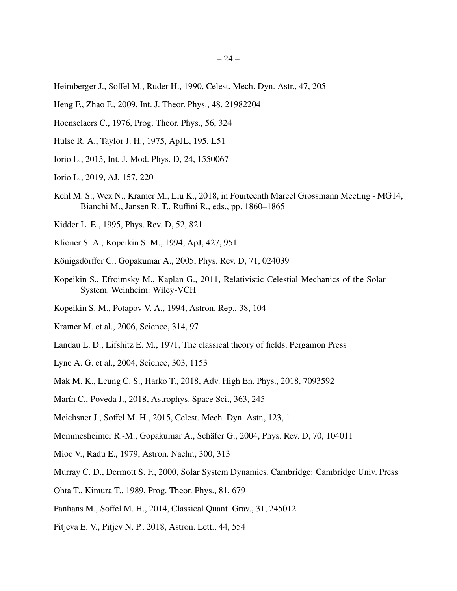- <span id="page-23-11"></span>Heimberger J., Soffel M., Ruder H., 1990, Celest. Mech. Dyn. Astr., 47, 205
- <span id="page-23-5"></span>Heng F., Zhao F., 2009, Int. J. Theor. Phys., 48, 21982204
- <span id="page-23-0"></span>Hoenselaers C., 1976, Prog. Theor. Phys., 56, 324
- <span id="page-23-16"></span>Hulse R. A., Taylor J. H., 1975, ApJL, 195, L51
- <span id="page-23-14"></span>Iorio L., 2015, Int. J. Mod. Phys. D, 24, 1550067
- <span id="page-23-19"></span>Iorio L., 2019, AJ, 157, 220
- <span id="page-23-22"></span>Kehl M. S., Wex N., Kramer M., Liu K., 2018, in Fourteenth Marcel Grossmann Meeting - MG14, Bianchi M., Jansen R. T., Ruffini R., eds., pp. 1860–1865
- <span id="page-23-20"></span>Kidder L. E., 1995, Phys. Rev. D, 52, 821
- <span id="page-23-8"></span>Klioner S. A., Kopeikin S. M., 1994, ApJ, 427, 951
- <span id="page-23-4"></span>Königsdörffer C., Gopakumar A., 2005, Phys. Rev. D, 71, 024039
- <span id="page-23-10"></span>Kopeikin S., Efroimsky M., Kaplan G., 2011, Relativistic Celestial Mechanics of the Solar System. Weinheim: Wiley-VCH
- <span id="page-23-2"></span>Kopeikin S. M., Potapov V. A., 1994, Astron. Rep., 38, 104
- <span id="page-23-21"></span>Kramer M. et al., 2006, Science, 314, 97
- <span id="page-23-23"></span>Landau L. D., Lifshitz E. M., 1971, The classical theory of fields. Pergamon Press
- <span id="page-23-17"></span>Lyne A. G. et al., 2004, Science, 303, 1153
- <span id="page-23-7"></span>Mak M. K., Leung C. S., Harko T., 2018, Adv. High En. Phys., 2018, 7093592
- <span id="page-23-6"></span>Marín C., Poveda J., 2018, Astrophys. Space Sci., 363, 245
- <span id="page-23-13"></span>Meichsner J., Soffel M. H., 2015, Celest. Mech. Dyn. Astr., 123, 1
- <span id="page-23-3"></span>Memmesheimer R.-M., Gopakumar A., Schäfer G., 2004, Phys. Rev. D, 70, 104011
- <span id="page-23-18"></span>Mioc V., Radu E., 1979, Astron. Nachr., 300, 313
- <span id="page-23-9"></span>Murray C. D., Dermott S. F., 2000, Solar System Dynamics. Cambridge: Cambridge Univ. Press
- <span id="page-23-1"></span>Ohta T., Kimura T., 1989, Prog. Theor. Phys., 81, 679
- <span id="page-23-12"></span>Panhans M., Soffel M. H., 2014, Classical Quant. Grav., 31, 245012
- <span id="page-23-15"></span>Pitjeva E. V., Pitjev N. P., 2018, Astron. Lett., 44, 554